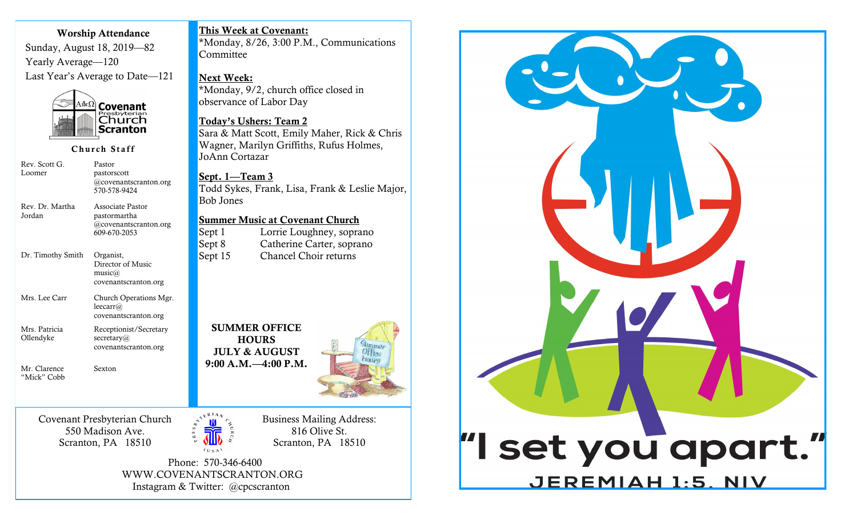### **Worship Attendance**

Sunday, August 18, 2019—82 Yearly Average—120 Last Year's Average to Date—121



### **Church Staff**

| Rev. Scott G.<br>Loomer     | Pastor<br>pastorscott<br>@covenantscranton.org<br>570-578-9424            |
|-----------------------------|---------------------------------------------------------------------------|
| Rev. Dr. Martha<br>Jordan   | Associate Pastor<br>pastormartha<br>@covenantscranton.org<br>609-670-2053 |
| Dr. Timothy Smith           | Organist,<br>Director of Music<br>music@<br>covenantscranton.org          |
| Mrs. Lee Carr               | Church Operations Mgr.<br>leecarr@<br>covenantscranton.org                |
| Mrs. Patricia<br>Ollendvke  | Receptionist/Secretary<br>secretary(a)<br>covenantscranton.org            |
| Mr. Clarence<br>"Mick" Cobb | Sexton                                                                    |

Covenant Presbyterian Church 550 Madison Ave. Scranton, PA 18510

**This Week at Covenant:**

\*Monday, 8/26, 3:00 P.M., Communications **Committee** 

**Next Week:** \*Monday, 9/2, church office closed in observance of Labor Day

**Today's Ushers: Team 2** Sara & Matt Scott, Emily Maher, Rick & Chris Wagner, Marilyn Griffiths, Rufus Holmes, JoAnn Cortazar

**Sept. 1—Team 3**

Todd Sykes, Frank, Lisa, Frank & Leslie Major, Bob Jones

**Summer Music at Covenant Church**

Sept 1 Lorrie Loughney, soprano Sept 8 Catherine Carter, soprano Sept 15 Chancel Choir returns

**SUMMER OFFICE HOURS JULY & AUGUST 9:00 A.M.—4:00 P.M.**



 $\int_{\mathbb{R}^d} \mathcal{A}^{\nabla \cdot \mathbf{E}^{\text{RIA}} \mathcal{N}} \mathcal{C}_{\mathbb{R}}.$ Business Mailing Address: 816 Olive St. Scranton, PA 18510

 Phone: 570-346-6400 WWW.COVENANTSCRANTON.ORG Instagram & Twitter: @cpcscranton

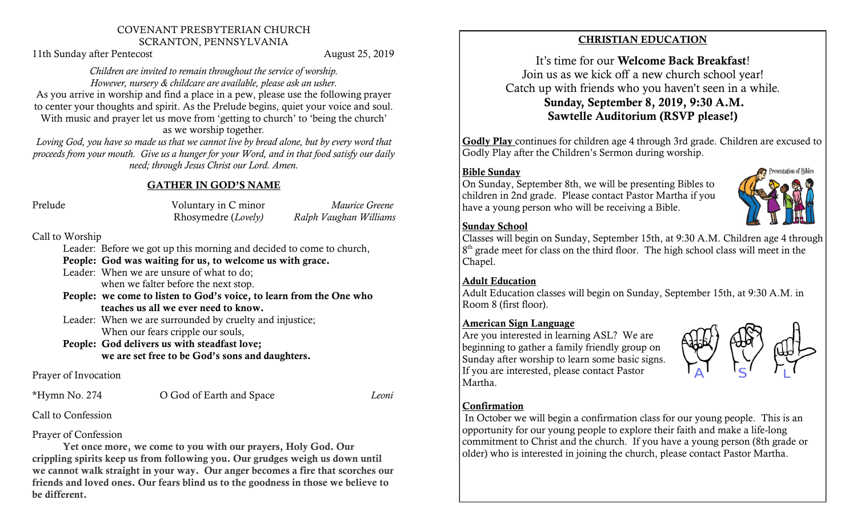### COVENANT PRESBYTERIAN CHURCH SCRANTON, PENNSYLVANIA

11th Sunday after Pentecost August 25, 2019

### *Children are invited to remain throughout the service of worship. However, nursery & childcare are available, please ask an usher.*

As you arrive in worship and find a place in a pew, please use the following prayer to center your thoughts and spirit. As the Prelude begins, quiet your voice and soul. With music and prayer let us move from 'getting to church' to 'being the church'

as we worship together*.*

*Loving God, you have so made us that we cannot live by bread alone, but by every word that proceeds from your mouth. Give us a hunger for your Word, and in that food satisfy our daily need; through Jesus Christ our Lord. Amen.*

### **GATHER IN GOD'S NAME**

| Prelude | Voluntary in C minor         | Maurice Greene         |
|---------|------------------------------|------------------------|
|         | Rhosymedre ( <i>Lovely</i> ) | Ralph Vaughan Williams |

### Call to Worship

Leader: Before we got up this morning and decided to come to church,

**People: God was waiting for us, to welcome us with grace.**

Leader: When we are unsure of what to do; when we falter before the next stop.

**People: we come to listen to God's voice, to learn from the One who teaches us all we ever need to know.**

- Leader: When we are surrounded by cruelty and injustice; When our fears cripple our souls,
- **People: God delivers us with steadfast love; we are set free to be God's sons and daughters.**

Prayer of Invocation

\*Hymn No. 274 O God of Earth and Space *Leoni*

Call to Confession

### Prayer of Confession

**Yet once more, we come to you with our prayers, Holy God. Our crippling spirits keep us from following you. Our grudges weigh us down until we cannot walk straight in your way. Our anger becomes a fire that scorches our friends and loved ones. Our fears blind us to the goodness in those we believe to be different.**

# **CHRISTIAN EDUCATION**

### It's time for our **Welcome Back Breakfast**! Join us as we kick off a new church school year! Catch up with friends who you haven't seen in a while. **Sunday, September 8, 2019, 9:30 A.M. Sawtelle Auditorium (RSVP please!)**

**Godly Play** continues for children age 4 through 3rd grade. Children are excused to Godly Play after the Children's Sermon during worship.

### **Bible Sunday**

On Sunday, September 8th, we will be presenting Bibles to children in 2nd grade. Please contact Pastor Martha if you have a young person who will be receiving a Bible.



### **Sunday School**

Classes will begin on Sunday, September 15th, at 9:30 A.M. Children age 4 through 8<sup>th</sup> grade meet for class on the third floor. The high school class will meet in the Chapel.

# **Adult Education**

Adult Education classes will begin on Sunday, September 15th, at 9:30 A.M. in Room 8 (first floor).

### **American Sign Language**

Are you interested in learning ASL? We are beginning to gather a family friendly group on Sunday after worship to learn some basic signs. If you are interested, please contact Pastor Martha.



# **Confirmation**

In October we will begin a confirmation class for our young people. This is an opportunity for our young people to explore their faith and make a life-long commitment to Christ and the church. If you have a young person (8th grade or older) who is interested in joining the church, please contact Pastor Martha.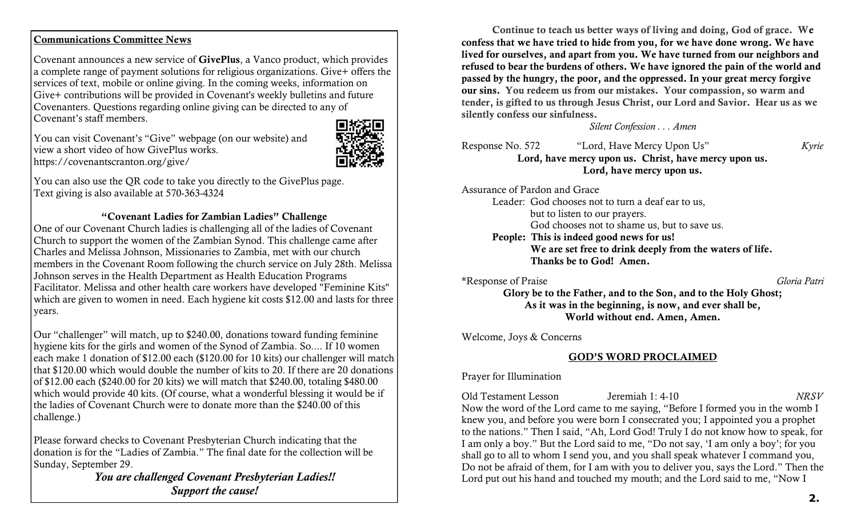### **Communications Committee News**

Covenant announces a new service of **GivePlus**, a Vanco product, which provides a complete range of payment solutions for religious organizations. Give+ offers the services of text, mobile or online giving. In the coming weeks, information on Give+ contributions will be provided in Covenant's weekly bulletins and future Covenanters. Questions regarding online giving can be directed to any of Covenant's staff members.

You can visit Covenant's "Give" webpage (on our website) and view a short video of how GivePlus works. https://covenantscranton.org/give/



You can also use the QR code to take you directly to the GivePlus page. Text giving is also available at 570-363-4324

### **"Covenant Ladies for Zambian Ladies" Challenge**

One of our Covenant Church ladies is challenging all of the ladies of Covenant Church to support the women of the Zambian Synod. This challenge came after Charles and Melissa Johnson, Missionaries to Zambia, met with our church members in the Covenant Room following the church service on July 28th. Melissa Johnson serves in the Health Department as Health Education Programs Facilitator. Melissa and other health care workers have developed "Feminine Kits" which are given to women in need. Each hygiene kit costs \$12.00 and lasts for three years.

Our "challenger" will match, up to \$240.00, donations toward funding feminine hygiene kits for the girls and women of the Synod of Zambia. So.... If 10 women each make 1 donation of \$12.00 each (\$120.00 for 10 kits) our challenger will match that \$120.00 which would double the number of kits to 20. If there are 20 donations of \$12.00 each (\$240.00 for 20 kits) we will match that \$240.00, totaling \$480.00 which would provide 40 kits. (Of course, what a wonderful blessing it would be if the ladies of Covenant Church were to donate more than the \$240.00 of this challenge.)

Please forward checks to Covenant Presbyterian Church indicating that the donation is for the "Ladies of Zambia." The final date for the collection will be Sunday, September 29.

> *You are challenged Covenant Presbyterian Ladies!! Support the cause!*

**Continue to teach us better ways of living and doing, God of grace. We confess that we have tried to hide from you, for we have done wrong. We have lived for ourselves, and apart from you. We have turned from our neighbors and refused to bear the burdens of others. We have ignored the pain of the world and passed by the hungry, the poor, and the oppressed. In your great mercy forgive our sins. You redeem us from our mistakes. Your compassion, so warm and tender, is gifted to us through Jesus Christ, our Lord and Savior. Hear us as we silently confess our sinfulness.**

*Silent Confession . . . Amen*

Response No. 572 "Lord, Have Mercy Upon Us" *Kyrie* **Lord, have mercy upon us. Christ, have mercy upon us. Lord, have mercy upon us.**

Assurance of Pardon and Grace

Leader: God chooses not to turn a deaf ear to us, but to listen to our prayers. God chooses not to shame us, but to save us. **People: This is indeed good news for us! We are set free to drink deeply from the waters of life. Thanks be to God! Amen.**

\*Response of Praise *Gloria Patri*

**Glory be to the Father, and to the Son, and to the Holy Ghost; As it was in the beginning, is now, and ever shall be, World without end. Amen, Amen.**

Welcome, Joys & Concerns

### **GOD'S WORD PROCLAIMED**

Prayer for Illumination

Old Testament Lesson Jeremiah 1: 4-10 *NRSV* Now the word of the Lord came to me saying, "Before I formed you in the womb I knew you, and before you were born I consecrated you; I appointed you a prophet to the nations." Then I said, "Ah, Lord God! Truly I do not know how to speak, for I am only a boy." But the Lord said to me, "Do not say, 'I am only a boy'; for you shall go to all to whom I send you, and you shall speak whatever I command you, Do not be afraid of them, for I am with you to deliver you, says the Lord." Then the Lord put out his hand and touched my mouth; and the Lord said to me, "Now I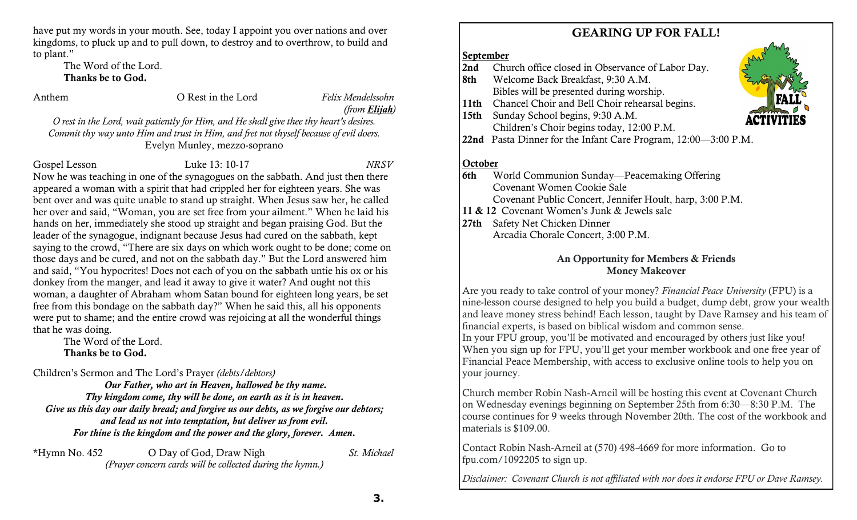have put my words in your mouth. See, today I appoint you over nations and over kingdoms, to pluck up and to pull down, to destroy and to overthrow, to build and to plant."

The Word of the Lord. **Thanks be to God.**

### Anthem O Rest in the Lord *Felix Mendelssohn*

*(from Elijah)*

*O rest in the Lord, wait patiently for Him, and He shall give thee thy heart's desires. Commit thy way unto Him and trust in Him, and fret not thyself because of evil doers.* Evelyn Munley, mezzo-soprano

Gospel Lesson Luke 13: 10-17 *NRSV*

Now he was teaching in one of the synagogues on the sabbath. And just then there appeared a woman with a spirit that had crippled her for eighteen years. She was bent over and was quite unable to stand up straight. When Jesus saw her, he called her over and said, "Woman, you are set free from your ailment." When he laid his hands on her, immediately she stood up straight and began praising God. But the leader of the synagogue, indignant because Jesus had cured on the sabbath, kept saying to the crowd, "There are six days on which work ought to be done; come on those days and be cured, and not on the sabbath day." But the Lord answered him and said, "You hypocrites! Does not each of you on the sabbath untie his ox or his donkey from the manger, and lead it away to give it water? And ought not this woman, a daughter of Abraham whom Satan bound for eighteen long years, be set free from this bondage on the sabbath day?" When he said this, all his opponents were put to shame; and the entire crowd was rejoicing at all the wonderful things that he was doing.

The Word of the Lord. **Thanks be to God.**

Children's Sermon and The Lord's Prayer *(debts/debtors)*

*Our Father, who art in Heaven, hallowed be thy name. Thy kingdom come, thy will be done, on earth as it is in heaven. Give us this day our daily bread; and forgive us our debts, as we forgive our debtors; and lead us not into temptation, but deliver us from evil. For thine is the kingdom and the power and the glory, forever. Amen.*

\*Hymn No. 452 O Day of God, Draw Nigh *St. Michael (Prayer concern cards will be collected during the hymn.)*

# **GEARING UP FOR FALL!**

### **September**

- **2nd** Church office closed in Observance of Labor Day.
- **8th** Welcome Back Breakfast, 9:30 A.M. Bibles will be presented during worship.
- **11th** Chancel Choir and Bell Choir rehearsal begins.
- **15th** Sunday School begins, 9:30 A.M. Children's Choir begins today, 12:00 P.M.
- **22nd** Pasta Dinner for the Infant Care Program, 12:00—3:00 P.M.

# **October**

**6th** World Communion Sunday—Peacemaking Offering Covenant Women Cookie Sale Covenant Public Concert, Jennifer Hoult, harp, 3:00 P.M.

**11 & 12** Covenant Women's Junk & Jewels sale

**27th** Safety Net Chicken Dinner Arcadia Chorale Concert, 3:00 P.M.

### **An Opportunity for Members & Friends Money Makeover**

Are you ready to take control of your money? *Financial Peace University* (FPU) is a nine-lesson course designed to help you build a budget, dump debt, grow your wealth and leave money stress behind! Each lesson, taught by Dave Ramsey and his team of financial experts, is based on biblical wisdom and common sense. In your FPU group, you'll be motivated and encouraged by others just like you! When you sign up for FPU, you'll get your member workbook and one free year of Financial Peace Membership, with access to exclusive online tools to help you on your journey.

Church member Robin Nash-Arneil will be hosting this event at Covenant Church on Wednesday evenings beginning on September 25th from 6:30—8:30 P.M. The course continues for 9 weeks through November 20th. The cost of the workbook and materials is \$109.00.

Contact Robin Nash-Arneil at (570) 498-4669 for more information. Go to fpu.com/1092205 to sign up.

*Disclaimer: Covenant Church is not affiliated with nor does it endorse FPU or Dave Ramsey.*